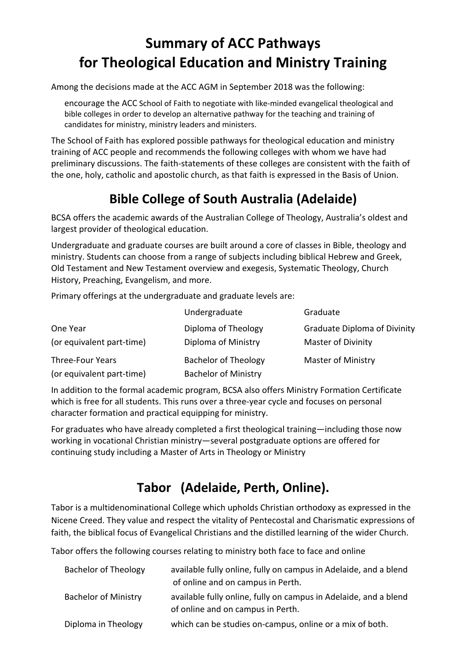# **Summary of ACC Pathways for Theological Education and Ministry Training**

Among the decisions made at the ACC AGM in September 2018 was the following:

encourage the ACC School of Faith to negotiate with like-minded evangelical theological and bible colleges in order to develop an alternative pathway for the teaching and training of candidates for ministry, ministry leaders and ministers.

The School of Faith has explored possible pathways for theological education and ministry training of ACC people and recommends the following colleges with whom we have had preliminary discussions. The faith-statements of these colleges are consistent with the faith of the one, holy, catholic and apostolic church, as that faith is expressed in the Basis of Union.

# **Bible College of South Australia (Adelaide)**

BCSA offers the academic awards of the Australian College of Theology, Australia's oldest and largest provider of theological education.

Undergraduate and graduate courses are built around a core of classes in Bible, theology and ministry. Students can choose from a range of subjects including biblical Hebrew and Greek, Old Testament and New Testament overview and exegesis, Systematic Theology, Church History, Preaching, Evangelism, and more.

Primary offerings at the undergraduate and graduate levels are:

|                           | Undergraduate               | Graduate                            |
|---------------------------|-----------------------------|-------------------------------------|
| One Year                  | Diploma of Theology         | <b>Graduate Diploma of Divinity</b> |
| (or equivalent part-time) | Diploma of Ministry         | <b>Master of Divinity</b>           |
| Three-Four Years          | <b>Bachelor of Theology</b> | <b>Master of Ministry</b>           |
| (or equivalent part-time) | <b>Bachelor of Ministry</b> |                                     |

In addition to the formal academic program, BCSA also offers Ministry Formation Certificate which is free for all students. This runs over a three-year cycle and focuses on personal character formation and practical equipping for ministry.

For graduates who have already completed a first theological training—including those now working in vocational Christian ministry—several postgraduate options are offered for continuing study including a Master of Arts in Theology or Ministry

# **Tabor (Adelaide, Perth, Online).**

Tabor is a multidenominational College which upholds Christian orthodoxy as expressed in the Nicene Creed. They value and respect the vitality of Pentecostal and Charismatic expressions of faith, the biblical focus of Evangelical Christians and the distilled learning of the wider Church.

Tabor offers the following courses relating to ministry both face to face and online

| <b>Bachelor of Theology</b> | available fully online, fully on campus in Adelaide, and a blend<br>of online and on campus in Perth. |
|-----------------------------|-------------------------------------------------------------------------------------------------------|
| <b>Bachelor of Ministry</b> | available fully online, fully on campus in Adelaide, and a blend<br>of online and on campus in Perth. |
| Diploma in Theology         | which can be studies on-campus, online or a mix of both.                                              |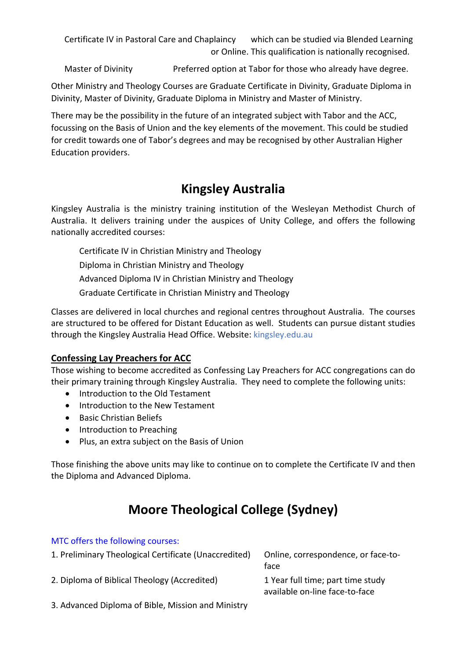Certificate IV in Pastoral Care and Chaplaincy which can be studied via Blended Learning or Online. This qualification is nationally recognised.

Master of Divinity Preferred option at Tabor for those who already have degree.

Other Ministry and Theology Courses are Graduate Certificate in Divinity, Graduate Diploma in Divinity, Master of Divinity, Graduate Diploma in Ministry and Master of Ministry.

There may be the possibility in the future of an integrated subject with Tabor and the ACC, focussing on the Basis of Union and the key elements of the movement. This could be studied for credit towards one of Tabor's degrees and may be recognised by other Australian Higher Education providers.

### **Kingsley Australia**

Kingsley Australia is the ministry training institution of the Wesleyan Methodist Church of Australia. It delivers training under the auspices of Unity College, and offers the following nationally accredited courses:

Certificate IV in Christian Ministry and Theology Diploma in Christian Ministry and Theology

Advanced Diploma IV in Christian Ministry and Theology

Graduate Certificate in Christian Ministry and Theology

Classes are delivered in local churches and regional centres throughout Australia. The courses are structured to be offered for Distant Education as well. Students can pursue distant studies through the Kingsley Australia Head Office. Website: kingsley.edu.au

#### **Confessing Lay Preachers for ACC**

Those wishing to become accredited as Confessing Lay Preachers for ACC congregations can do their primary training through Kingsley Australia. They need to complete the following units:

- Introduction to the Old Testament
- Introduction to the New Testament
- Basic Christian Beliefs
- Introduction to Preaching
- Plus, an extra subject on the Basis of Union

Those finishing the above units may like to continue on to complete the Certificate IV and then the Diploma and Advanced Diploma.

## **Moore Theological College (Sydney)**

#### MTC offers the following courses:

| 1. Preliminary Theological Certificate (Unaccredited) | Online, correspondence, or face-to-<br>face                         |
|-------------------------------------------------------|---------------------------------------------------------------------|
| 2. Diploma of Biblical Theology (Accredited)          | 1 Year full time; part time study<br>available on-line face-to-face |
| .<br>- -                                              |                                                                     |

3. Advanced Diploma of Bible, Mission and Ministry